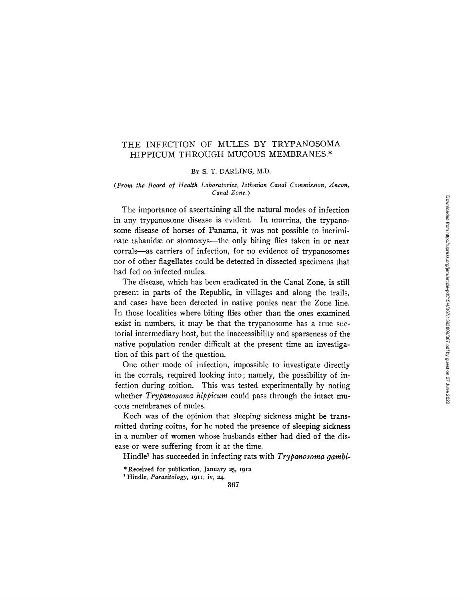## THE INFECTION OF MULES BY TRYPANOSOMA HIPPICUM THROUGH MUCOUS MEMBRANES.\*

## BY S. T. DARLING, M.D.

## *(From the Board of Health Laboratories, Isthmian Canal Commission, Ancon, Canal Zone.)*

The importance of ascertaining all the natural modes of infection in any trypanosome disease is evident. In murrina, the trypanosome disease of horses of Panama, it was not possible to incriminate tabanidæ or stomoxys---the only biting flies taken in or near corrals--as carriers of infection, for no evidence of trypanosomes nor of other flagellates could be detected in dissected specimens that had fed on infected mules.

The disease, which has been eradicated in the Canal Zone, is still present in parts of the Republic, in villages and along the trails, and cases have been detected in native ponies near the Zone line. In those localities where biting flies other than the ones examined exist in numbers, it may be that the trypanosome has a true suctorial intermediary host, but the inaccessibility and sparseness of the native population render difficult at the present time an investigation of this part of the question.

One other mode of infection, impossible to investigate directly in the corrals, required looking into; namely, the possibility of infection during coition. This was tested experimentally by noting whether *Trypanosoma hippicum* could pass through the intact mucous membranes of mules.

Koch was of the opinion that sleeping sickness might be transmitted during coitus, for he noted the presence of sleeping sickness in a number of women whose husbands either had died of the disease or were suffering from it at the time.

Hindle<sup>1</sup> has succeeded in infecting rats with *Trypanosoma gambi*-

\* Received for publication, January 25, 1912.

1 Hindle, *Parasitology,* 1911, iv, 24.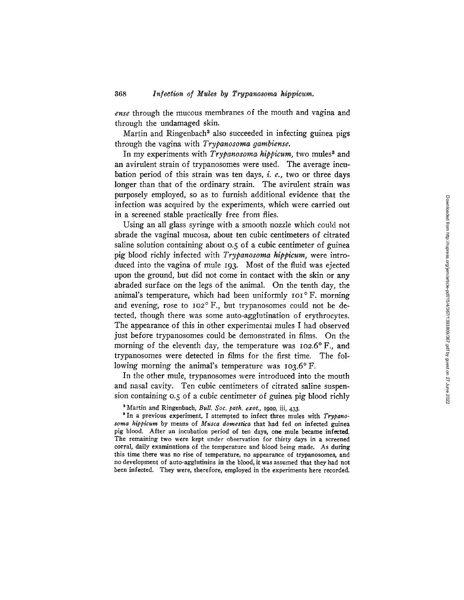*ense* through the mucous membranes of the mouth and vagina and through the undamaged skin.

Martin and Ringenbach<sup>2</sup> also succeeded in infecting guinea pigs through the vagina with *Trypanosoma gambiense.* 

In my experiments with *Trypanosoma hippicum*, two mules<sup>3</sup> and an avirulent strain of trypanosomes were used. The average incubation period of this strain was ten days, i. e., two or three days longer than that of the ordinary strain. The avirulent strain was purposely employed, so as to furnish additional evidence that the infection was acquired by the experiments, which were carried out in a screened stable practically free from flies.

Using an all glass syringe with a smooth nozzle which could not abrade the vaginal mucosa, about ten cubic centimeters of citrated saline solution containing about 0.5 of a cubic centimeter of guinea pig blood richly infected with *Trypanosoma hippicum,* were introduced into the vagina of mule 193. Most of the fluid was ejected upon the ground, but did not come in contact with the skin or any abraded surface on the legs of the animal. On the tenth day, the animal's temperature, which had been uniformly  $IoI^{\circ}F$ . morning and evening, rose to  $102^{\circ}$  F., but trypanosomes could not be detected, though there was some auto-agglutination of erythrocytes. The appearance of this in other experimental mules I had observed just before trypanosomes could be demonstrated in films. On the morning of the eleventh day, the temperature was  $102.6^{\circ}$  F., and trypanosomes were detected in films for the first time. The following morning the animal's temperature was  $103.6^{\circ}$  F.

In the other mule, trypanosomes were introduced into the mouth and nasal cavity. Ten cubic centimeters of citrated saline suspension containing 0.5 of a cubic centimeter of guinea pig blood richly

<sup>3</sup> In a previous experiment, I attempted to infect three mules with *Trypanosoma hlppicum* by means of *Musca domestica* that had fed on infected guinea pig blood. After an incubation period of ten days, one mule became infected. The remaining two were kept under observation for thirty days in a screened **corral,** daily examinations of the temperature and blood being made. As **during**  this time there was no rise of temperature, no appearance of trypanosomes, aad no development of auto-agglutinins in the blood, it was assumed that they had **not**  been infected. They were, therefore, employed in the experiments here recorded.

Martin and Ringenbach, *Bull. Soc. path. exot.,* 191o, iii, 433.